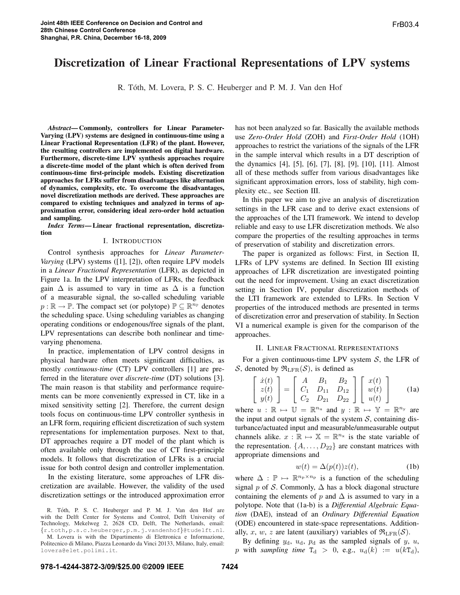R. Tóth, M. Lovera, P. S. C. Heuberger and P. M. J. Van den Hof

*Abstract*—Commonly, controllers for Linear Parameter-Varying (LPV) systems are designed in continuous-time using a Linear Fractional Representation (LFR) of the plant. However, the resulting controllers are implemented on digital hardware. Furthermore, discrete-time LPV synthesis approaches require a discrete-time model of the plant which is often derived from continuous-time first-principle models. Existing discretization approaches for LFRs suffer from disadvantages like alternation of dynamics, complexity, etc. To overcome the disadvantages, novel discretization methods are derived. These approaches are compared to existing techniques and analyzed in terms of approximation error, considering ideal zero-order hold actuation and sampling.

*Index Terms*— Linear fractional representation, discretization

#### I. INTRODUCTION

Control synthesis approaches for *Linear Parameter-Varying* (LPV) systems ([1], [2]), often require LPV models in a *Linear Fractional Representation* (LFR), as depicted in Figure 1a. In the LPV interpretation of LFRs, the feedback gain  $\Delta$  is assumed to vary in time as  $\Delta$  is a function of a measurable signal, the so-called scheduling variable  $p : \mathbb{R} \to \mathbb{P}$ . The compact set (or polytope)  $\mathbb{P} \subseteq \mathbb{R}^{n_{\mathbb{P}}}$  denotes the scheduling space. Using scheduling variables as changing operating conditions or endogenous/free signals of the plant, LPV representations can describe both nonlinear and timevarying phenomena.

In practice, implementation of LPV control designs in physical hardware often meets significant difficulties, as mostly *continuous-time* (CT) LPV controllers [1] are preferred in the literature over *discrete-time* (DT) solutions [3]. The main reason is that stability and performance requirements can be more conveniently expressed in CT, like in a mixed sensitivity setting [2]. Therefore, the current design tools focus on continuous-time LPV controller synthesis in an LFR form, requiring efficient discretization of such system representations for implementation purposes. Next to that, DT approaches require a DT model of the plant which is often available only through the use of CT first-principle models. It follows that discretization of LFRs is a crucial issue for both control design and controller implementation.

In the existing literature, some approaches of LFR discretization are available. However, the validity of the used discretization settings or the introduced approximation error

Politecnico di Milano, Piazza Leonardo da Vinci 20133, Milano, Italy, email: lovera@elet.polimi.it.

has not been analyzed so far. Basically the available methods use *Zero-Order Hold* (ZOH) and *First-Order Hold* (1OH) approaches to restrict the variations of the signals of the LFR in the sample interval which results in a DT description of the dynamics [4], [5], [6], [7], [8], [9], [10], [11]. Almost all of these methods suffer from various disadvantages like significant approximation errors, loss of stability, high complexity etc., see Section III.

In this paper we aim to give an analysis of discretization settings in the LFR case and to derive exact extensions of the approaches of the LTI framework. We intend to develop reliable and easy to use LFR discretization methods. We also compare the properties of the resulting approaches in terms of preservation of stability and discretization errors.

The paper is organized as follows: First, in Section II, LFRs of LPV systems are defined. In Section III existing approaches of LFR discretization are investigated pointing out the need for improvement. Using an exact discretization setting in Section IV, popular discretization methods of the LTI framework are extended to LFRs. In Section V properties of the introduced methods are presented in terms of discretization error and preservation of stability. In Section VI a numerical example is given for the comparison of the approaches.

#### II. LINEAR FRACTIONAL REPRESENTATIONS

For a given continuous-time LPV system  $S$ , the LFR of S, denoted by  $\mathfrak{R}_{\mathrm{LFR}}(\mathcal{S})$ , is defined as

$$
\begin{bmatrix}\n\dot{x}(t) \\
z(t) \\
y(t)\n\end{bmatrix} = \begin{bmatrix}\nA & B_1 & B_2 \\
C_1 & D_{11} & D_{12} \\
C_2 & D_{21} & D_{22}\n\end{bmatrix} \begin{bmatrix}\nx(t) \\
w(t) \\
u(t)\n\end{bmatrix}
$$
\n(1a)

where  $u : \mathbb{R} \mapsto \mathbb{U} = \mathbb{R}^{n_u}$  and  $y : \mathbb{R} \mapsto \mathbb{Y} = \mathbb{R}^{n_y}$  are the input and output signals of the system  $S$ , containing disturbance/actuated input and measurable/unmeasurable output channels alike.  $x : \mathbb{R} \mapsto \mathbb{X} = \mathbb{R}^{n_x}$  is the state variable of the representation.  $\{A, \ldots, D_{22}\}$  are constant matrices with appropriate dimensions and

$$
w(t) = \Delta(p(t))z(t),
$$
 (1b)

where  $\Delta : \mathbb{P} \mapsto \mathbb{R}^{n_p \times n_p}$  is a function of the scheduling signal p of S. Commonly,  $\Delta$  has a block diagonal structure containing the elements of p and  $\Delta$  is assumed to vary in a polytope. Note that (1a-b) is a *Differential Algebraic Equation* (DAE), instead of an *Ordinary Differential Equation* (ODE) encountered in state-space representations. Additionally, x, w, z are latent (auxiliary) variables of  $\mathfrak{R}_{\mathrm{LFR}}(\mathcal{S})$ .

By defining  $y_d$ ,  $u_d$ ,  $p_d$  as the sampled signals of y, u, p with *sampling time*  $T_d > 0$ , e.g.,  $u_d(k) := u(kT_d)$ ,

R. Tóth, P. S. C. Heuberger and P. M. J. Van den Hof are with the Delft Center for Systems and Control, Delft University of Technology, Mekelweg 2, 2628 CD, Delft, The Netherlands, email: {r.toth,p.s.c.heuberger,p.m.j.vandenhof}@tudelft.nl. M. Lovera is with the Dipartimento di Elettronica e Informazione,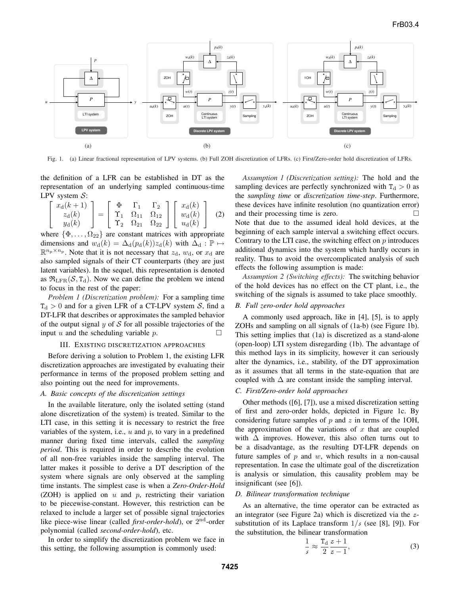

Fig. 1. (a) Linear fractional representation of LPV systems. (b) Full ZOH discretization of LFRs. (c) First/Zero-order hold discretization of LFRs.

the definition of a LFR can be established in DT as the representation of an underlying sampled continuous-time LPV system  $S$ :

$$
\begin{bmatrix} x_{\mathrm{d}}(k+1) \\ z_{\mathrm{d}}(k) \\ y_{\mathrm{d}}(k) \end{bmatrix} = \begin{bmatrix} \Phi & \Gamma_1 & \Gamma_2 \\ \Upsilon_1 & \Omega_{11} & \Omega_{12} \\ \Upsilon_2 & \Omega_{21} & \Omega_{22} \end{bmatrix} \begin{bmatrix} x_{\mathrm{d}}(k) \\ w_{\mathrm{d}}(k) \\ u_{\mathrm{d}}(k) \end{bmatrix} (2)
$$

where  $\{\Phi, \ldots, \Omega_{22}\}$  are constant matrices with appropriate dimensions and  $w_d(k) = \Delta_d(p_d(k))z_d(k)$  with  $\Delta_d : \mathbb{P} \mapsto$  $\mathbb{R}^{n_{\text{p}} \times n_{\text{p}}}$ . Note that it is not necessary that  $z_{\text{d}}$ ,  $w_{\text{d}}$ , or  $x_{\text{d}}$  are also sampled signals of their CT counterparts (they are just latent variables). In the sequel, this representation is denoted as  $\Re_{\text{LFR}}(\mathcal{S}, T_d)$ . Now we can define the problem we intend to focus in the rest of the paper:

*Problem 1 (Discretization problem):* For a sampling time  $T_d > 0$  and for a given LFR of a CT-LPV system S, find a DT-LFR that describes or approximates the sampled behavior of the output signal y of S for all possible trajectories of the input u and the scheduling variable p. input  $u$  and the scheduling variable  $p$ .

### III. EXISTING DISCRETIZATION APPROACHES

Before deriving a solution to Problem 1, the existing LFR discretization approaches are investigated by evaluating their performance in terms of the proposed problem setting and also pointing out the need for improvements.

# *A. Basic concepts of the discretization settings*

In the available literature, only the isolated setting (stand alone discretization of the system) is treated. Similar to the LTI case, in this setting it is necessary to restrict the free variables of the system, i.e.,  $u$  and  $p$ , to vary in a predefined manner during fixed time intervals, called the *sampling period*. This is required in order to describe the evolution of all non-free variables inside the sampling interval. The latter makes it possible to derive a DT description of the system where signals are only observed at the sampling time instants. The simplest case is when a *Zero-Order-Hold* (ZOH) is applied on  $u$  and  $p$ , restricting their variation to be piecewise-constant. However, this restriction can be relaxed to include a larger set of possible signal trajectories like piece-wise linear (called *first-order-hold*), or 2<sup>nd</sup>-order polynomial (called *second-order-hold*), etc.

In order to simplify the discretization problem we face in this setting, the following assumption is commonly used:

*Assumption 1 (Discretization setting):* The hold and the sampling devices are perfectly synchronized with  $T_d > 0$  as the *sampling time* or *discretization time-step*. Furthermore, these devices have infinite resolution (no quantization error) and their processing time is zero.  $\Box$ Note that due to the assumed ideal hold devices, at the beginning of each sample interval a switching effect occurs. Contrary to the LTI case, the switching effect on  $p$  introduces additional dynamics into the system which hardly occurs in reality. Thus to avoid the overcomplicated analysis of such effects the following assumption is made:

*Assumption 2 (Switching effects):* The switching behavior of the hold devices has no effect on the CT plant, i.e., the switching of the signals is assumed to take place smoothly.

# *B. Full zero-order hold approaches*

A commonly used approach, like in [4], [5], is to apply ZOHs and sampling on all signals of (1a-b) (see Figure 1b). This setting implies that (1a) is discretized as a stand-alone (open-loop) LTI system disregarding (1b). The advantage of this method lays in its simplicity, however it can seriously alter the dynamics, i.e., stability, of the DT approximation as it assumes that all terms in the state-equation that are coupled with  $\Delta$  are constant inside the sampling interval.

### *C. First/Zero-order hold approaches*

Other methods ([6], [7]), use a mixed discretization setting of first and zero-order holds, depicted in Figure 1c. By considering future samples of  $p$  and  $z$  in terms of the 1OH, the approximation of the variations of  $x$  that are coupled with  $\Delta$  improves. However, this also often turns out to be a disadvantage, as the resulting DT-LFR depends on future samples of  $p$  and  $w$ , which results in a non-causal representation. In case the ultimate goal of the discretization is analysis or simulation, this causality problem may be insignificant (see [6]).

### *D. Bilinear transformation technique*

As an alternative, the time operator can be extracted as an integrator (see Figure 2a) which is discretized via the *z*substitution of its Laplace transform  $1/s$  (see [8], [9]). For the substitution, the bilinear transformation

$$
\frac{1}{s} \approx \frac{T_d}{2} \frac{z+1}{z-1},\tag{3}
$$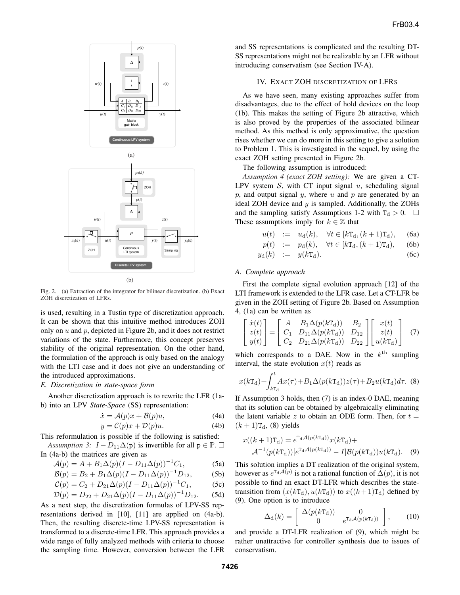

# IV. EXACT ZOH DISCRETIZATION OF LFRS

As we have seen, many existing approaches suffer from disadvantages, due to the effect of hold devices on the loop (1b). This makes the setting of Figure 2b attractive, which is also proved by the properties of the associated bilinear method. As this method is only approximative, the question rises whether we can do more in this setting to give a solution to Problem 1. This is investigated in the sequel, by using the exact ZOH setting presented in Figure 2b.

The following assumption is introduced:

*Assumption 4 (exact ZOH setting):* We are given a CT-LPV system  $S$ , with CT input signal  $u$ , scheduling signal  $p$ , and output signal  $y$ , where  $u$  and  $p$  are generated by an ideal ZOH device and  $y$  is sampled. Additionally, the ZOHs and the sampling satisfy Assumptions 1-2 with  $T_d > 0$ .  $\Box$ These assumptions imply for  $k \in \mathbb{Z}$  that

$$
u(t) := u_d(k), \quad \forall t \in [kT_d, (k+1)T_d),
$$
 (6a)

$$
p(t) := p_d(k), \quad \forall t \in [k\mathbf{T}_d, (k+1)\mathbf{T}_d), \quad \text{(6b)}
$$

$$
y_{\rm d}(k) \quad := \quad y(k \mathsf{T}_{\rm d}). \tag{6c}
$$

## *A. Complete approach*

First the complete signal evolution approach [12] of the LTI framework is extended to the LFR case. Let a CT-LFR be given in the ZOH setting of Figure 2b. Based on Assumption 4, (1a) can be written as

$$
\begin{bmatrix} \dot{x}(t) \\ z(t) \\ y(t) \end{bmatrix} = \begin{bmatrix} A & B_1 \Delta(p(k \mathbf{T_d})) & B_2 \\ C_1 & D_{11} \Delta(p(k \mathbf{T_d})) & D_{12} \\ C_2 & D_{21} \Delta(p(k \mathbf{T_d})) & D_{22} \end{bmatrix} \begin{bmatrix} x(t) \\ z(t) \\ u(k \mathbf{T_d}) \end{bmatrix}
$$
(7)

which corresponds to a DAE. Now in the  $k^{\text{th}}$  sampling interval, the state evolution  $x(t)$  reads as

$$
x(kTd) + \int_{kTd}^{t} Ax(\tau) + B_1 \Delta(p(kTd))z(\tau) + B_2 u(kTd)d\tau.
$$
 (8)

If Assumption 3 holds, then (7) is an index-0 DAE, meaning that its solution can be obtained by algebraically eliminating the latent variable z to obtain an ODE form. Then, for  $t =$  $(k+1)$ T<sub>d</sub>, (8) yields

$$
x((k+1)\mathbf{T_d}) = e^{\mathbf{T_d}\mathcal{A}(p(k\mathbf{T_d}))} x(k\mathbf{T_d}) +
$$
  

$$
\mathcal{A}^{-1}(p(k\mathbf{T_d})) [e^{\mathbf{T_d}\mathcal{A}(p(k\mathbf{T_d}))} - I] \mathcal{B}(p(k\mathbf{T_d})) u(k\mathbf{T_d}). \quad (9)
$$

This solution implies a DT realization of the original system, however as  $e^{T_d\mathcal{A}(p)}$  is not a rational function of  $\Delta(p)$ , it is not possible to find an exact DT-LFR which describes the statetransition from  $(x(kT_d), u(kT_d))$  to  $x((k+1)T_d)$  defined by (9). One option is to introduce

$$
\Delta_{\rm d}(k) = \begin{bmatrix} \Delta(p(k \mathrm{T}_{\rm d})) & 0 \\ 0 & e^{\mathrm{T}_{\rm d}\mathcal{A}(p(k \mathrm{T}_{\rm d}))} \end{bmatrix}, \qquad (10)
$$

and provide a DT-LFR realization of (9), which might be rather unattractive for controller synthesis due to issues of conservatism.



*P*

∆

ZOH

 $p_d(k)$ 

*p*(*t*)

Continuous LTI system

Matrix mann.<br>Ioola nien

*A C*1 *C*2 *B*1 *D*<sup>11</sup> *D*<sup>21</sup> *B*2 *D*<sup>12</sup>  $\overline{D}$ <sup>2</sup>

 $u(t)$   $y(t)$ 

**Continuous LPV system**

(a)

∆

*p*(*t*)

1 s *z*(*t*)

Sampling  $y(t)$   $y_d(k)$ 

*z*(*t*)

*w*(*t*)

*w*(*t*)

ZOH

 $\Box$ 

 $u_d(k)$ 

Fig. 2. (a) Extraction of the integrator for bilinear discretization. (b) Exact ZOH discretization of LFRs.

is used, resulting in a Tustin type of discretization approach. It can be shown that this intuitive method introduces ZOH only on  $u$  and  $p$ , depicted in Figure 2b, and it does not restrict variations of the state. Furthermore, this concept preserves stability of the original representation. On the other hand, the formulation of the approach is only based on the analogy with the LTI case and it does not give an understanding of the introduced approximations.

# *E. Discretization in state-space form*

Another discretization approach is to rewrite the LFR (1ab) into an LPV *State-Space* (SS) representation:

$$
\dot{x} = \mathcal{A}(p)x + \mathcal{B}(p)u,\tag{4a}
$$

$$
y = C(p)x + D(p)u.
$$
 (4b)

This reformulation is possible if the following is satisfied:

*Assumption 3:*  $I - D_{11}\Delta(p)$  is invertible for all  $p \in \mathbb{P}$ .  $\Box$ In (4a-b) the matrices are given as

$$
\mathcal{A}(p) = A + B_1 \Delta(p) (I - D_{11} \Delta(p))^{-1} C_1,
$$
 (5a)

$$
\mathcal{B}(p) = B_2 + B_1 \Delta(p) (I - D_{11} \Delta(p))^{-1} D_{12},
$$
 (5b)

$$
C(p) = C_2 + D_{21} \Delta(p) (I - D_{11} \Delta(p))^{-1} C_1,
$$
 (5c)

$$
\mathcal{D}(p) = D_{22} + D_{21} \Delta(p) (I - D_{11} \Delta(p))^{-1} D_{12}.
$$
 (5d)

As a next step, the discretization formulas of LPV-SS representations derived in [10], [11] are applied on (4a-b). Then, the resulting discrete-time LPV-SS representation is transformed to a discrete-time LFR. This approach provides a wide range of fully analyzed methods with criteria to choose the sampling time. However, conversion between the LFR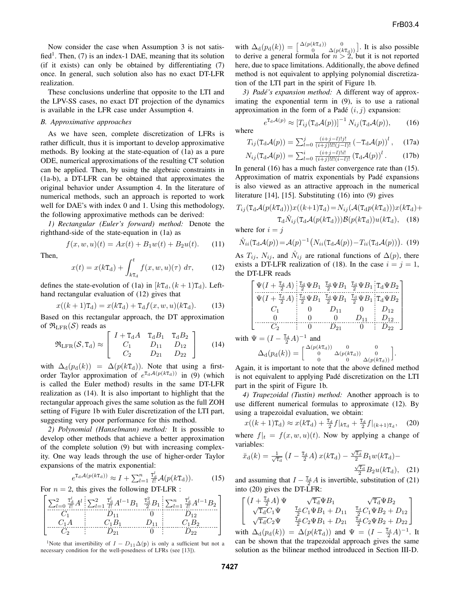Now consider the case when Assumption 3 is not satisfied<sup>1</sup>. Then, (7) is an index-1 DAE, meaning that its solution (if it exists) can only be obtained by differentiating (7) once. In general, such solution also has no exact DT-LFR realization.

These conclusions underline that opposite to the LTI and the LPV-SS cases, no exact DT projection of the dynamics is available in the LFR case under Assumption 4.

### *B. Approximative approaches*

As we have seen, complete discretization of LFRs is rather difficult, thus it is important to develop approximative methods. By looking at the state-equation of (1a) as a pure ODE, numerical approximations of the resulting CT solution can be applied. Then, by using the algebraic constraints in (1a-b), a DT-LFR can be obtained that approximates the original behavior under Assumption 4. In the literature of numerical methods, such an approach is reported to work well for DAE's with index 0 and 1. Using this methodology, the following approximative methods can be derived:

*1) Rectangular (Euler's forward) method:* Denote the righthand-side of the state-equation in (1a) as

Then,

$$
x(t) = x(kT_{d}) + \int_{kT_{d}}^{t} f(x, w, u)(\tau) d\tau,
$$
 (12)

 $f(x, w, u)(t) = Ax(t) + B_1w(t) + B_2u(t).$  (11)

defines the state-evolution of (1a) in  $[kT_d,(k+1)T_d)$ . Lefthand rectangular evaluation of (12) gives that

$$
x((k+1)\mathbf{T_d}) = x(k\mathbf{T_d}) + \mathbf{T_d}f(x, w, u)(k\mathbf{T_d}).
$$
 (13)

Based on this rectangular approach, the DT approximation of  $\Re_{\text{LFR}}(\mathcal{S})$  reads as

$$
\Re_{\text{LFR}}(\mathcal{S}, T_{\text{d}}) \approx \begin{bmatrix} I + T_{\text{d}}A & T_{\text{d}}B_1 & T_{\text{d}}B_2 \\ C_1 & D_{11} & D_{12} \\ C_2 & D_{21} & D_{22} \end{bmatrix} \tag{14}
$$

with  $\Delta_d(p_d(k)) = \Delta(p(kT_d))$ . Note that using a firstorder Taylor approximation of  $e^{T_d \mathcal{A}(p(kT_d))}$  in (9) (which is called the Euler method) results in the same DT-LFR realization as (14). It is also important to highlight that the rectangular approach gives the same solution as the full ZOH setting of Figure 1b with Euler discretization of the LTI part, suggesting very poor performance for this method.

*2) Polynomial (Hanselmann) method:* It is possible to develop other methods that achieve a better approximation of the complete solution (9) but with increasing complexity. One way leads through the use of higher-order Taylor expansions of the matrix exponential:

$$
e^{\mathbf{T_d}\mathcal{A}(p(k\mathbf{T_d}))} \approx I + \sum_{l=1}^n \frac{\mathbf{T_d^l}}{l!} \mathcal{A}(p(k\mathbf{T_d})).\tag{15}
$$

For  $n = 2$ , this gives the following DT-LFR :

$$
\begin{bmatrix}\n\sum_{l=0}^{2} \frac{\mathbf{T}_{\text{d}}^{l}}{l!} A^{l} \sum_{l=1}^{2} \frac{\mathbf{T}_{\text{d}}^{l}}{l!} A^{l-1} B_{1} & \frac{\mathbf{T}_{\text{d}}^{2}}{2} B_{1} & \sum_{l=1}^{n} \frac{\mathbf{T}_{\text{d}}^{l}}{l!} A^{l-1} B_{2} \\
C_{1} & D_{11} & 0 & D_{12} \\
C_{1}A & C_{1}B_{1} & D_{11} & C_{1}B_{2} \\
C_{2} & D_{21} & 0 & D_{22}\n\end{bmatrix}
$$

<sup>1</sup>Note that invertibility of  $I - D_{11}\Delta(p)$  is only a sufficient but not a necessary condition for the well-posedness of LFRs (see [13]).

with  $\Delta_d(p_d(k)) = \begin{bmatrix} \Delta(p(kT_d)) & 0 \\ 0 & \Delta(p(kT_d)) \end{bmatrix}$ . It is also possible to derive a general formula for  $n > 2$ , but it is not reported here, due to space limitations. Additionally, the above defined method is not equivalent to applying polynomial discretization of the LTI part in the spirit of Figure 1b.

*3) Pade'´ s expansion method:* A different way of approximating the exponential term in (9), is to use a rational approximation in the form of a Padé $(i, j)$  expansion:

$$
e^{\mathrm{T}_{\mathrm{d}}\mathcal{A}(p)} \approx \left[T_{ij}(\mathrm{T}_{\mathrm{d}}\mathcal{A}(p))\right]^{-1} N_{ij}(\mathrm{T}_{\mathrm{d}}\mathcal{A}(p)),\tag{16}
$$

where

$$
T_{ij}(\mathbf{T_d}\mathcal{A}(p)) = \sum_{l=0}^{j} \frac{(i+j-l)!j!}{(i+j)!l!(j-l)!} \left(-\mathbf{T_d}\mathcal{A}(p)\right)^l, \quad (17a)
$$

$$
N_{ij}(\mathbf{T}_{\mathbf{d}}\mathcal{A}(p)) = \sum_{l=0}^{i} \frac{(i+j-l)!i!}{(i+j)!!(i-l)!} (\mathbf{T}_{\mathbf{d}}\mathcal{A}(p))^{l}.
$$
 (17b)

In general (16) has a much faster convergence rate than (15). Approximation of matrix exponentials by Padé expansions is also viewed as an attractive approach in the numerical literature [14], [15]. Substituting (16) into (9) gives

$$
T_{ij}(\mathbf{T_d}\mathcal{A}(p(k\mathbf{T_d})))x((k+1)\mathbf{T_d}) = N_{ij}(\mathcal{A}(\mathbf{T_d}p(k\mathbf{T_d})))x(k\mathbf{T_d}) +
$$
  
\n
$$
\mathbf{T_d}\hat{N}_{ij}(\mathbf{T_d}\mathcal{A}(p(k\mathbf{T_d})))\mathcal{B}(p(k\mathbf{T_d}))u(k\mathbf{T_d}), \quad (18)
$$

where for  $i = j$ 

$$
\hat{N}_{ii}(\mathbf{T}_{\mathbf{d}}\mathcal{A}(p)) = \mathcal{A}(p)^{-1} \left( N_{ii}(\mathbf{T}_{\mathbf{d}}\mathcal{A}(p)) - T_{ii}(\mathbf{T}_{\mathbf{d}}\mathcal{A}(p)) \right). (19)
$$

As  $T_{ij}$ ,  $N_{ij}$ , and  $\hat{N}_{ij}$  are rational functions of  $\Delta(p)$ , there exists a DT-LFR realization of (18). In the case  $i = j = 1$ , the DT-LFR reads

$$
\begin{bmatrix}\n\Psi(I + \frac{\tau_d}{2}A) & \frac{\tau_d}{2}\Psi B_1 & \frac{\tau_d}{2}\Psi B_1 & \frac{\tau_d}{2}\Psi B_1 & \tau_d\Psi B_2 \\
\Psi(I + \frac{\tau_d}{2}A) & \frac{\tau_d}{2}\Psi B_1 & \frac{\tau_d}{2}\Psi B_1 & \frac{\tau_d}{2}\Psi B_1 & \tau_d\Psi B_2 \\
C_1 & 0 & D_{11} & 0 & D_{12} \\
0 & 0 & 0 & D_{11} & D_{12} \\
C_2 & 0 & D_{21} & 0 & D_{22}\n\end{bmatrix}
$$

with  $\Psi = (I - \frac{T_d}{2}A)^{-1}$  and

$$
\Delta_{\mathrm{d}}(p_{\mathrm{d}}(k)) = \begin{bmatrix} \Delta(p(k\mathrm{T}_{\mathrm{d}})) & 0 & 0 \\ 0 & \Delta(p(k\mathrm{T}_{\mathrm{d}})) & 0 \\ 0 & 0 & \Delta(p(k\mathrm{T}_{\mathrm{d}})) \end{bmatrix}.
$$

Again, it is important to note that the above defined method is not equivalent to applying Padé discretization on the LTI part in the spirit of Figure 1b.

*4) Trapezoidal (Tustin) method:* Another approach is to use different numerical formulas to approximate (12). By using a trapezoidal evaluation, we obtain:

$$
x((k+1)\mathbf{T_d}) \approx x(k\mathbf{T_d}) + \frac{\mathbf{T_d}}{2} f|_{k\mathbf{T_d}} + \frac{\mathbf{T_d}}{2} f|_{(k+1)\mathbf{T_d}},\tag{20}
$$

where  $f|_t = f(x, w, u)(t)$ . Now by applying a change of variables:

$$
\breve{x}_{d}(k) = \frac{1}{\sqrt{T_{d}}} \left( I - \frac{T_{d}}{2} A \right) x(kT_{d}) - \frac{\sqrt{T_{d}}}{2} B_{1} w(kT_{d}) - \frac{\sqrt{T_{d}}}{2} B_{2} u(kT_{d}), \quad (21)
$$

and assuming that  $I - \frac{T_d}{2}A$  is invertible, substitution of (21) into (20) gives the DT-LFR:

$$
\begin{bmatrix}\n(I + \frac{T_d}{2}A) \Psi & \sqrt{T_d} \Psi B_1 & \sqrt{T_d} \Psi B_2 \\
\sqrt{T_d} C_1 \Psi & \frac{T_d}{2} C_1 \Psi B_1 + D_{11} & \frac{T_d}{2} C_1 \Psi B_2 + D_{12} \\
\sqrt{T_d} C_2 \Psi & \frac{T_d}{2} C_2 \Psi B_1 + D_{21} & \frac{T_d}{2} C_2 \Psi B_2 + D_{22}\n\end{bmatrix}
$$
\nwith  $\Delta_d(p_d(k)) = \Delta(p(kT_d))$  and  $\Psi = (I - \frac{T_d}{2}A)^{-1}$ . It can be shown that the transzoidal approach gives the same

can be shown that the trapezoidal approach gives the same solution as the bilinear method introduced in Section III-D.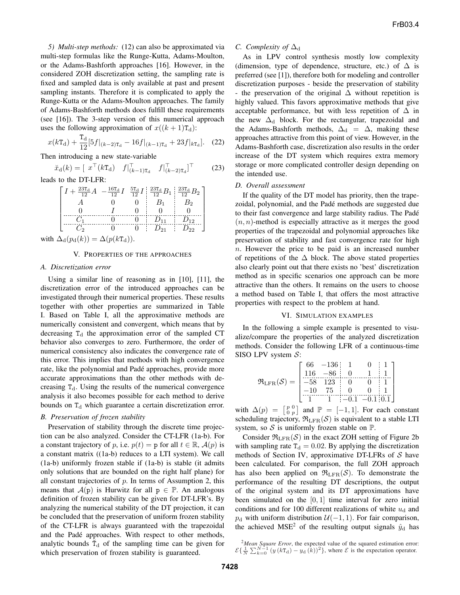*5) Multi-step methods:* (12) can also be approximated via multi-step formulas like the Runge-Kutta, Adams-Moulton, or the Adams-Bashforth approaches [16]. However, in the considered ZOH discretization setting, the sampling rate is fixed and sampled data is only available at past and present sampling instants. Therefore it is complicated to apply the Runge-Kutta or the Adams-Moulton approaches. The family of Adams-Bashforth methods does fulfill these requirements (see [16]). The 3-step version of this numerical approach uses the following approximation of  $x((k+1)T<sub>d</sub>)$ :

$$
x(kT_{\rm d}) + \frac{T_{\rm d}}{12} [5f|_{(k-2)T_{\rm d}} - 16f|_{(k-1)T_{\rm d}} + 23f|_{kT_{\rm d}}]. \quad (22)
$$

Then introducing a new state-variable

$$
\breve{x}_{\mathbf{d}}(k) = \begin{bmatrix} x^{\top}(k\mathbf{T}_{\mathbf{d}}) & f\vert_{(k-1)\mathbf{T}_{\mathbf{d}}}^{\top} & f\vert_{(k-2)\mathbf{T}_{\mathbf{d}}}^{\top} \end{bmatrix}^{\top} \tag{23}
$$

leads to the DT-LFR:

|                                            | $I + \frac{23T_d}{12}A - \frac{16T_d}{12}I - \frac{5T_d}{12}I - \frac{23T_d}{12}B_1 - \frac{23T_d}{12}B_2$ |  |  |                     |          |  |  |
|--------------------------------------------|------------------------------------------------------------------------------------------------------------|--|--|---------------------|----------|--|--|
|                                            |                                                                                                            |  |  |                     | B۰       |  |  |
|                                            |                                                                                                            |  |  |                     |          |  |  |
|                                            |                                                                                                            |  |  | $\mathcal{D}_{1,1}$ | $D_{12}$ |  |  |
|                                            |                                                                                                            |  |  | $D_{21}$            | $D_{22}$ |  |  |
| with $\Delta_d(p_d(k)) = \Delta(p(kT_d)).$ |                                                                                                            |  |  |                     |          |  |  |

### V. PROPERTIES OF THE APPROACHES

### *A. Discretization error*

Using a similar line of reasoning as in [10], [11], the discretization error of the introduced approaches can be investigated through their numerical properties. These results together with other properties are summarized in Table I. Based on Table I, all the approximative methods are numerically consistent and convergent, which means that by decreasing  $T_d$  the approximation error of the sampled CT behavior also converges to zero. Furthermore, the order of numerical consistency also indicates the convergence rate of this error. This implies that methods with high convergence rate, like the polynomial and Padé approaches, provide more accurate approximations than the other methods with decreasing  $T_d$ . Using the results of the numerical convergence analysis it also becomes possible for each method to derive bounds on  $T_d$  which guarantee a certain discretization error.

# *B. Preservation of frozen stability*

Preservation of stability through the discrete time projection can be also analyzed. Consider the CT-LFR (1a-b). For a constant trajectory of p, i.e.  $p(t) = p$  for all  $t \in \mathbb{R}$ ,  $\mathcal{A}(p)$  is a constant matrix ((1a-b) reduces to a LTI system). We call (1a-b) uniformly frozen stable if (1a-b) is stable (it admits only solutions that are bounded on the right half plane) for all constant trajectories of  $p$ . In terms of Assumption 2, this means that  $A(p)$  is Hurwitz for all  $p \in \mathbb{P}$ . An analogous definition of frozen stability can be given for DT-LFR's. By analyzing the numerical stability of the DT projection, it can be concluded that the preservation of uniform frozen stability of the CT-LFR is always guaranteed with the trapezoidal and the Padé approaches. With respect to other methods, analytic bounds  $\tilde{T}_d$  of the sampling time can be given for which preservation of frozen stability is guaranteed.

#### *C. Complexity of*  $\Delta_d$

As in LPV control synthesis mostly low complexity (dimension, type of dependence, structure, etc.) of  $\Delta$  is preferred (see [1]), therefore both for modeling and controller discretization purposes - beside the preservation of stability - the preservation of the original  $\Delta$  without repetition is highly valued. This favors approximative methods that give acceptable performance, but with less repetition of  $\Delta$  in the new  $\Delta_d$  block. For the rectangular, trapezoidal and the Adams-Bashforth methods,  $\Delta_d = \Delta$ , making these approaches attractive from this point of view. However, in the Adams-Bashforth case, discretization also results in the order increase of the DT system which requires extra memory storage or more complicated controller design depending on the intended use.

### *D. Overall assessment*

If the quality of the DT model has priority, then the trapezoidal, polynomial, and the Pade´ methods are suggested due to their fast convergence and large stability radius. The Pade´  $(n, n)$ -method is especially attractive as it merges the good properties of the trapezoidal and polynomial approaches like preservation of stability and fast convergence rate for high n. However the price to be paid is an increased number of repetitions of the  $\Delta$  block. The above stated properties also clearly point out that there exists no 'best' discretization method as in specific scenarios one approach can be more attractive than the others. It remains on the users to choose a method based on Table I, that offers the most attractive properties with respect to the problem at hand.

# VI. SIMULATION EXAMPLES

In the following a simple example is presented to visualize/compare the properties of the analyzed discretization methods. Consider the following LFR of a continuous-time SISO LPV system  $S$ :

$$
\mathfrak{R}_{\text{LFR}}(\mathcal{S}) = \begin{bmatrix} 66 & -136 & 1 & 0 & 1 \\ 116 & -86 & 0 & 1 & 1 \\ -58 & 123 & 0 & 0 & 1 \\ -10 & 75 & 0 & 0 & 1 \\ 1 & 1 & -0.1 & -0.1 & 0.1 \end{bmatrix}
$$

with  $\Delta(p) = \begin{bmatrix} p & 0 \\ 0 & p \end{bmatrix}$  and  $\mathbb{P} = [-1, 1]$ . For each constant scheduling trajectory,  $\Re_{\text{LFR}}(\mathcal{S})$  is equivalent to a stable LTI system, so S is uniformly frozen stable on  $\mathbb{P}$ .

Consider  $\Re_{\text{LFR}}(\mathcal{S})$  in the exact ZOH setting of Figure 2b with sampling rate  $T_d = 0.02$ . By applying the discretization methods of Section IV, approximative DT-LFRs of  $S$  have been calculated. For comparison, the full ZOH approach has also been applied on  $\Re_{\text{LFR}}(\mathcal{S})$ . To demonstrate the performance of the resulting DT descriptions, the output of the original system and its DT approximations have been simulated on the  $[0, 1]$  time interval for zero initial conditions and for 100 different realizations of white  $u_d$  and  $p_d$  with uniform distribution  $\mathcal{U}(-1, 1)$ . For fair comparison, the achieved MSE<sup>2</sup> of the resulting output signals  $\hat{y}_d$  has

<sup>2</sup>*Mean Square Error*, the expected value of the squared estimation error:  $\mathcal{E}\{\frac{1}{N}\sum_{k=0}^{N-1} (y(kT_d) - y_d(k))^2\}$ , where  $\mathcal{E}$  is the expectation operator.